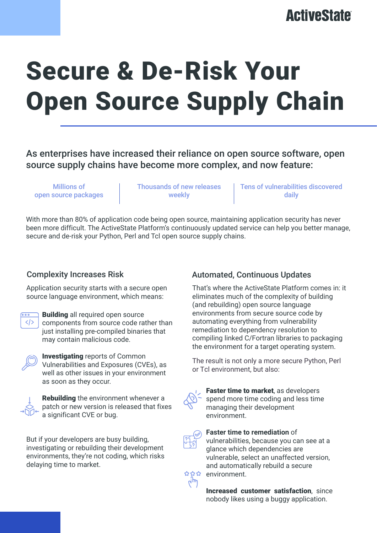## **ActiveState**

# Secure & De-Risk Your Open Source Supply Chain

As enterprises have increased their reliance on open source software, open source supply chains have become more complex, and now feature:

Millions of open source packages Thousands of new releases weekly

Tens of vulnerabilities discovered daily

With more than 80% of application code being open source, maintaining application security has never been more difficult. The ActiveState Platform's continuously updated service can help you better manage, secure and de-risk your Python, Perl and Tcl open source supply chains.

#### Complexity Increases Risk

Application security starts with a secure open source language environment, which means:



**Building** all required open source components from source code rather than just installing pre-compiled binaries that may contain malicious code.



Investigating reports of Common Vulnerabilities and Exposures (CVEs), as well as other issues in your environment as soon as they occur.



**Rebuilding** the environment whenever a patch or new version is released that fixes a significant CVE or bug.

But if your developers are busy building, investigating or rebuilding their development environments, they're not coding, which risks delaying time to market.

#### Automated, Continuous Updates

That's where the ActiveState Platform comes in: it eliminates much of the complexity of building (and rebuilding) open source language environments from secure source code by automating everything from vulnerability remediation to dependency resolution to compiling linked C/Fortran libraries to packaging the environment for a target operating system.

The result is not only a more secure Python, Perl or Tcl environment, but also:



Faster time to market, as developers spend more time coding and less time managing their development environment.



**Faster time to remediation** of vulnerabilities, because you can see at a glance which dependencies are vulnerable, select an unaffected version, and automatically rebuild a secure environment.

Increased customer satisfaction, since nobody likes using a buggy application.